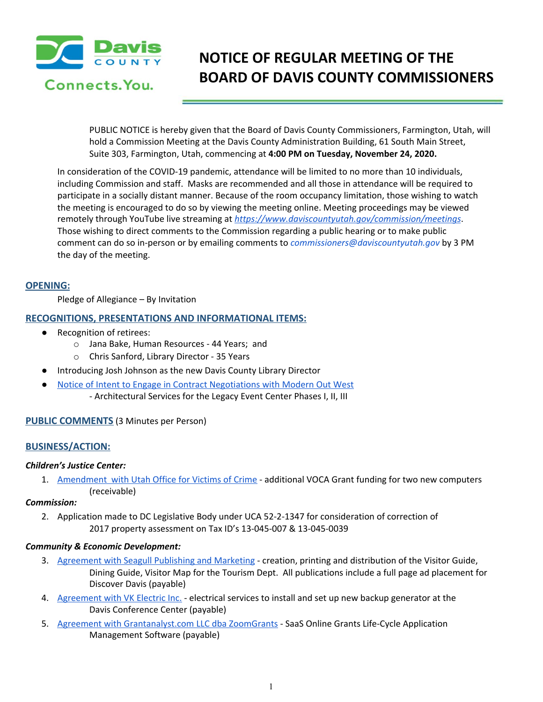

# **NOTICE OF REGULAR MEETING OF THE BOARD OF DAVIS COUNTY COMMISSIONERS**

PUBLIC NOTICE is hereby given that the Board of Davis County Commissioners, Farmington, Utah, will hold a Commission Meeting at the Davis County Administration Building, 61 South Main Street, Suite 303, Farmington, Utah, commencing at **4:00 PM on Tuesday, November 24, 2020.**

In consideration of the COVID-19 pandemic, attendance will be limited to no more than 10 individuals, including Commission and staff. Masks are recommended and all those in attendance will be required to participate in a socially distant manner. Because of the room occupancy limitation, those wishing to watch the meeting is encouraged to do so by viewing the meeting online. Meeting proceedings may be viewed remotely through YouTube live streaming at *<https://www.daviscountyutah.gov/commission/meetings>*. Those wishing to direct comments to the Commission regarding a public hearing or to make public comment can do so in-person or by emailing comments to *commissioners@daviscountyutah.gov* by 3 PM the day of the meeting.

#### **OPENING:**

Pledge of Allegiance – By Invitation

### **RECOGNITIONS, PRESENTATIONS AND INFORMATIONAL ITEMS:**

- Recognition of retirees:
	- o Jana Bake, Human Resources 44 Years; and
	- o Chris Sanford, Library Director 35 Years
- Introducing Josh Johnson as the new Davis County Library Director
- Notice of Intent to Engage in Contract [Negotiations](https://drive.google.com/file/d/1_Aux1rDlgh3l7YKSaLAljh9am8PCH1ZB/view?usp=drivesdk) with Modern Out West - Architectural Services for the Legacy Event Center Phases I, II, III

## **PUBLIC COMMENTS** (3 Minutes per Person)

## **BUSINESS/ACTION:**

#### *Children's Justice Center:*

1. [Amendment](https://drive.google.com/file/d/1bfWAVKwHBaHU2yCgJij8RF9RlA3ZESOr/view?usp=drivesdk) with Utah Office for Victims of Crime - additional VOCA Grant funding for two new computers (receivable)

#### *Commission:*

2. Application made to DC Legislative Body under UCA 52-2-1347 for consideration of correction of 2017 property assessment on Tax ID's 13-045-007 & 13-045-0039

#### *Community & Economic Development:*

- 3. [Agreement](https://drive.google.com/file/d/1ZD8QaW449dEpYYWHpr3FlhLgk6mYxG5S/view?usp=drivesdk) with Seagull Publishing and Marketing creation, printing and distribution of the Visitor Guide, Dining Guide, Visitor Map for the Tourism Dept. All publications include a full page ad placement for Discover Davis (payable)
- 4. [Agreement](https://drive.google.com/file/d/1RRuL6AD1hLIneyCcyBjGtJggYHoUxNdY/view?usp=drivesdk) with VK Electric Inc. electrical services to install and set up new backup generator at the Davis Conference Center (payable)
- 5. Agreement with [Grantanalyst.com](https://drive.google.com/file/d/1BhVL7VW8Xaxf0o_stULTOehgG13jnNNO/view?usp=drivesdk) LLC dba ZoomGrants SaaS Online Grants Life-Cycle Application Management Software (payable)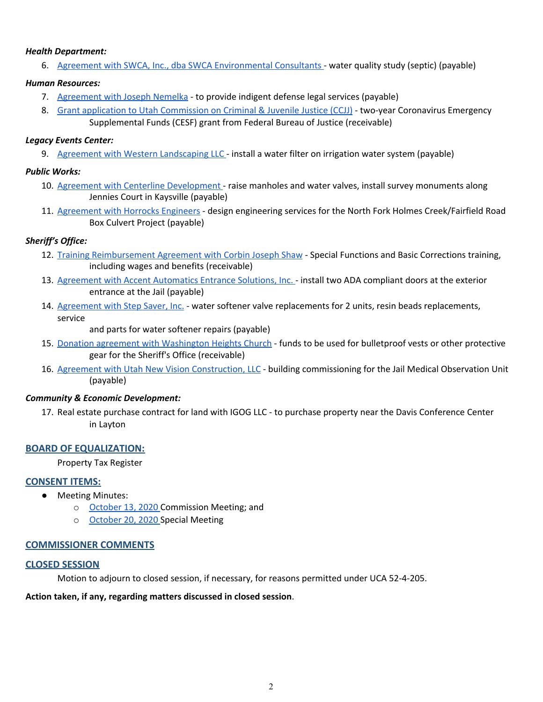#### *Health Department:*

6. Agreement with SWCA, Inc., dba SWCA [Environmental](https://drive.google.com/file/d/1Cx61glNaFztB9TQssIcK2MuoS8VnAoMw/view?usp=drivesdk) Consultants - water quality study (septic) (payable)

#### *Human Resources:*

- 7. [Agreement](https://drive.google.com/file/d/1CLL5W7Nzdvx-37bXC2Bhwk3yQOL2CItC/view?usp=drivesdk) with Joseph Nemelka to provide indigent defense legal services (payable)
- 8. Grant application to Utah [Commission](https://drive.google.com/file/d/15m5VxKewH8yC6ZESQil1eaY6CN6r5RKD/view?usp=drivesdk) on Criminal & Juvenile Justice (CCJJ) two-year Coronavirus Emergency Supplemental Funds (CESF) grant from Federal Bureau of Justice (receivable)

#### *Legacy Events Center:*

9. Agreement with Western [Landscaping](https://drive.google.com/file/d/1paZTnvvMG7FC3PUzoCvb3X3-WQcE93Yd/view?usp=drivesdk) LLC - install a water filter on irrigation water system (payable)

#### *Public Works:*

- 10. Agreement with Centerline [Development](https://drive.google.com/file/d/1t3_T9avUQRUqHZ3o20ZCBeh1Ak4rgCGY/view?usp=drivesdk) raise manholes and water valves, install survey monuments along Jennies Court in Kaysville (payable)
- 11. [Agreement](https://drive.google.com/file/d/1B4zoFWzYPGpk4JgpDn7YqAqsYfyxu7Zf/view?usp=drivesdk) with Horrocks Engineers design engineering services for the North Fork Holmes Creek/Fairfield Road Box Culvert Project (payable)

### *Sheriff's Office:*

- 12. Training [Reimbursement](https://drive.google.com/file/d/1shxKTDjFQbR8BEWZKSuBqIxJj88V8rfd/view?usp=drivesdk) Agreement with Corbin Joseph Shaw Special Functions and Basic Corrections training, including wages and benefits (receivable)
- 13. Agreement with Accent [Automatics](https://drive.google.com/file/d/1-joCc3quFKTnzoSwKhjANFkKfIwAN2QX/view?usp=drivesdk) Entrance Solutions, Inc. install two ADA compliant doors at the exterior entrance at the Jail (payable)
- 14. [Agreement](https://drive.google.com/file/d/1eExyrqWQJuu7Zs82xmxxI4VtilqVJCXN/view?usp=drivesdk) with Step Saver, Inc. water softener valve replacements for 2 units, resin beads replacements, service

and parts for water softener repairs (payable)

- 15. Donation agreement with [Washington](https://drive.google.com/file/d/1nLZJ6N6tnmZ8BYCvPio7L2w9lartJFK0/view?usp=drivesdk) Heights Church funds to be used for bulletproof vests or other protective gear for the Sheriff's Office (receivable)
- 16. Agreement with Utah New Vision [Construction,](https://drive.google.com/file/d/1NwfERQNo9Z7t0WlK4Qq_ZtAG8Uvlcp9G/view?usp=drivesdk) LLC building commissioning for the Jail Medical Observation Unit (payable)

#### *Community & Economic Development:*

17. Real estate purchase contract for land with IGOG LLC - to purchase property near the Davis Conference Center in Layton

## **BOARD OF EQUALIZATION:**

Property Tax Register

#### **CONSENT ITEMS:**

- Meeting Minutes:
	- o [October](https://drive.google.com/file/d/1rhMxTsOrrk86iQWvDigGJoKUFcZKMWZi/view?usp=drivesdk) 13, 2020 Commission Meeting; and
	- o [October](https://drive.google.com/file/d/1_bIukYzPbLmtefcSa1eEXVGVTL8vaRbr/view?usp=drivesdk) 20, 2020 Special Meetin[g](https://drive.google.com/file/d/1_bIukYzPbLmtefcSa1eEXVGVTL8vaRbr/view?usp=drivesdk)

#### **COMMISSIONER COMMENTS**

#### **CLOSED SESSION**

Motion to adjourn to closed session, if necessary, for reasons permitted under UCA 52-4-205.

#### **Action taken, if any, regarding matters discussed in closed session**.